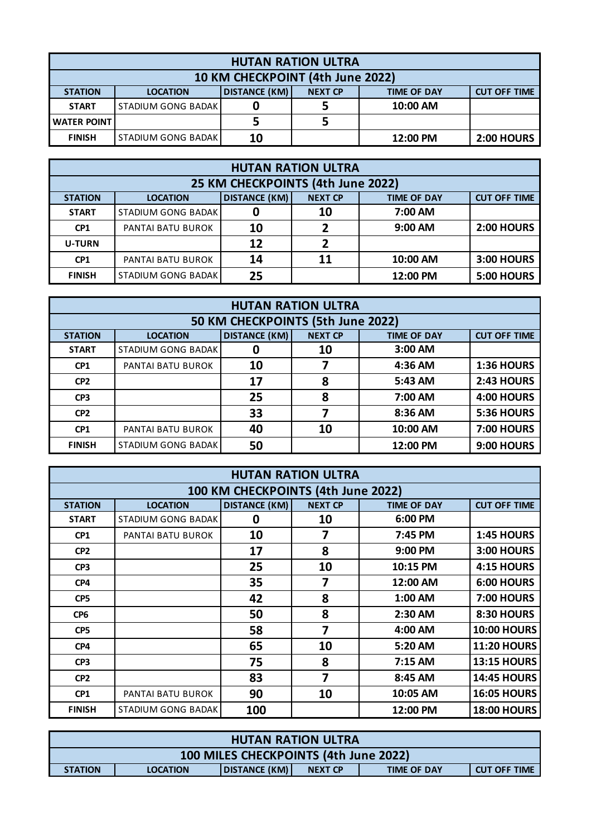| <b>HUTAN RATION ULTRA</b>        |                           |                                                                                     |  |          |                   |  |
|----------------------------------|---------------------------|-------------------------------------------------------------------------------------|--|----------|-------------------|--|
| 10 KM CHECKPOINT (4th June 2022) |                           |                                                                                     |  |          |                   |  |
| <b>STATION</b>                   | <b>LOCATION</b>           | <b>DISTANCE (KM)</b><br><b>NEXT CP</b><br><b>TIME OF DAY</b><br><b>CUT OFF TIME</b> |  |          |                   |  |
| <b>START</b>                     | STADIUM GONG BADAK        |                                                                                     |  | 10:00 AM |                   |  |
| <b>WATER POINT</b>               |                           |                                                                                     |  |          |                   |  |
| <b>FINISH</b>                    | <b>STADIUM GONG BADAK</b> | 10                                                                                  |  | 12:00 PM | <b>2:00 HOURS</b> |  |

| <b>HUTAN RATION ULTRA</b>         |                                                                                                        |    |    |           |                   |  |  |
|-----------------------------------|--------------------------------------------------------------------------------------------------------|----|----|-----------|-------------------|--|--|
| 25 KM CHECKPOINTS (4th June 2022) |                                                                                                        |    |    |           |                   |  |  |
| <b>STATION</b>                    | <b>DISTANCE (KM)</b><br><b>NEXT CP</b><br><b>CUT OFF TIME</b><br><b>TIME OF DAY</b><br><b>LOCATION</b> |    |    |           |                   |  |  |
| <b>START</b>                      | <b>STADIUM GONG BADAK</b>                                                                              |    | 10 | 7:00 AM   |                   |  |  |
| CP <sub>1</sub>                   | PANTAI BATU BUROK                                                                                      | 10 | 2  | $9:00$ AM | <b>2:00 HOURS</b> |  |  |
| <b>U-TURN</b>                     |                                                                                                        | 12 | 2  |           |                   |  |  |
| CP <sub>1</sub>                   | PANTAI BATU BUROK                                                                                      | 14 | 11 | 10:00 AM  | 3:00 HOURS        |  |  |
| <b>FINISH</b>                     | STADIUM GONG BADAK                                                                                     | 25 |    | 12:00 PM  | <b>5:00 HOURS</b> |  |  |

| <b>HUTAN RATION ULTRA</b>         |                                                                                                        |    |    |          |                   |  |  |  |
|-----------------------------------|--------------------------------------------------------------------------------------------------------|----|----|----------|-------------------|--|--|--|
| 50 KM CHECKPOINTS (5th June 2022) |                                                                                                        |    |    |          |                   |  |  |  |
| <b>STATION</b>                    | <b>DISTANCE (KM)</b><br><b>NEXT CP</b><br><b>TIME OF DAY</b><br><b>CUT OFF TIME</b><br><b>LOCATION</b> |    |    |          |                   |  |  |  |
| <b>START</b>                      | <b>STADIUM GONG BADAK</b>                                                                              | 0  | 10 | 3:00 AM  |                   |  |  |  |
| CP1                               | PANTAI BATU BUROK                                                                                      | 10 |    | 4:36 AM  | 1:36 HOURS        |  |  |  |
| CP <sub>2</sub>                   |                                                                                                        | 17 | 8  | 5:43 AM  | 2:43 HOURS        |  |  |  |
| CP <sub>3</sub>                   |                                                                                                        | 25 | 8  | 7:00 AM  | 4:00 HOURS        |  |  |  |
| CP <sub>2</sub>                   |                                                                                                        | 33 | 7  | 8:36 AM  | 5:36 HOURS        |  |  |  |
| CP1                               | <b>PANTAI BATU BUROK</b>                                                                               | 40 | 10 | 10:00 AM | <b>7:00 HOURS</b> |  |  |  |
| <b>FINISH</b>                     | <b>STADIUM GONG BADAK</b>                                                                              | 50 |    | 12:00 PM | 9:00 HOURS        |  |  |  |

| <b>HUTAN RATION ULTRA</b>          |                           |                      |                         |                    |                     |  |
|------------------------------------|---------------------------|----------------------|-------------------------|--------------------|---------------------|--|
| 100 KM CHECKPOINTS (4th June 2022) |                           |                      |                         |                    |                     |  |
| <b>STATION</b>                     | <b>LOCATION</b>           | <b>DISTANCE (KM)</b> | <b>NEXT CP</b>          | <b>TIME OF DAY</b> | <b>CUT OFF TIME</b> |  |
| <b>START</b>                       | <b>STADIUM GONG BADAK</b> | 0                    | 10                      | 6:00 PM            |                     |  |
| CP <sub>1</sub>                    | PANTAI BATU BUROK         | 10                   | 7                       | 7:45 PM            | 1:45 HOURS          |  |
| CP <sub>2</sub>                    |                           | 17                   | 8                       | 9:00 PM            | 3:00 HOURS          |  |
| CP <sub>3</sub>                    |                           | 25                   | 10                      | 10:15 PM           | 4:15 HOURS          |  |
| CP4                                |                           | 35                   | 7                       | 12:00 AM           | 6:00 HOURS          |  |
| CP <sub>5</sub>                    |                           | 42                   | 8                       | 1:00 AM            | <b>7:00 HOURS</b>   |  |
| CP <sub>6</sub>                    |                           | 50                   | 8                       | 2:30 AM            | 8:30 HOURS          |  |
| CP <sub>5</sub>                    |                           | 58                   | $\overline{\mathbf{z}}$ | 4:00 AM            | <b>10:00 HOURS</b>  |  |
| CP4                                |                           | 65                   | 10                      | 5:20 AM            | <b>11:20 HOURS</b>  |  |
| CP <sub>3</sub>                    |                           | 75                   | 8                       | $7:15$ AM          | <b>13:15 HOURS</b>  |  |
| CP <sub>2</sub>                    |                           | 83                   | 7                       | 8:45 AM            | <b>14:45 HOURS</b>  |  |
| CP1                                | PANTAI BATU BUROK         | 90                   | 10                      | 10:05 AM           | <b>16:05 HOURS</b>  |  |
| <b>FINISH</b>                      | STADIUM GONG BADAK        | 100                  |                         | 12:00 PM           | <b>18:00 HOURS</b>  |  |

| <b>HUTAN RATION ULTRA</b>             |                 |                      |                |                    |                     |
|---------------------------------------|-----------------|----------------------|----------------|--------------------|---------------------|
| 100 MILES CHECKPOINTS (4th June 2022) |                 |                      |                |                    |                     |
| <b>STATION</b>                        | <b>LOCATION</b> | <b>DISTANCE (KM)</b> | <b>NEXT CP</b> | <b>TIME OF DAY</b> | <b>CUT OFF TIME</b> |